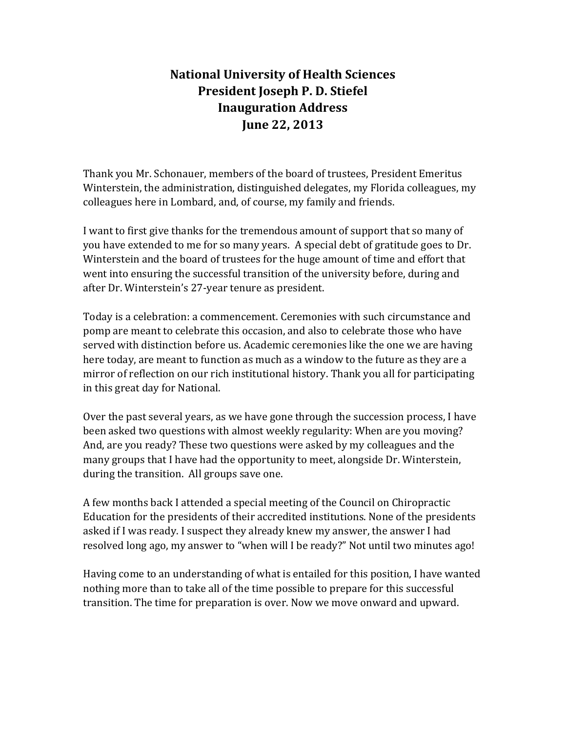## **National University of Health Sciences President Joseph P. D. Stiefel Inauguration Address June 22, 2013**

Thank you Mr. Schonauer, members of the board of trustees, President Emeritus Winterstein, the administration, distinguished delegates, my Florida colleagues, my colleagues here in Lombard, and, of course, my family and friends.

I want to first give thanks for the tremendous amount of support that so many of you have extended to me for so many years. A special debt of gratitude goes to Dr. Winterstein and the board of trustees for the huge amount of time and effort that went into ensuring the successful transition of the university before, during and after Dr. Winterstein's 27-year tenure as president.

Today is a celebration: a commencement. Ceremonies with such circumstance and pomp are meant to celebrate this occasion, and also to celebrate those who have served with distinction before us. Academic ceremonies like the one we are having here today, are meant to function as much as a window to the future as they are a mirror of reflection on our rich institutional history. Thank you all for participating in this great day for National.

Over the past several years, as we have gone through the succession process, I have been asked two questions with almost weekly regularity: When are you moving? And, are you ready? These two questions were asked by my colleagues and the many groups that I have had the opportunity to meet, alongside Dr. Winterstein, during the transition. All groups save one.

A few months back I attended a special meeting of the Council on Chiropractic Education for the presidents of their accredited institutions. None of the presidents asked if I was ready. I suspect they already knew my answer, the answer I had resolved long ago, my answer to "when will I be ready?" Not until two minutes ago!

Having come to an understanding of what is entailed for this position, I have wanted nothing more than to take all of the time possible to prepare for this successful transition. The time for preparation is over. Now we move onward and upward.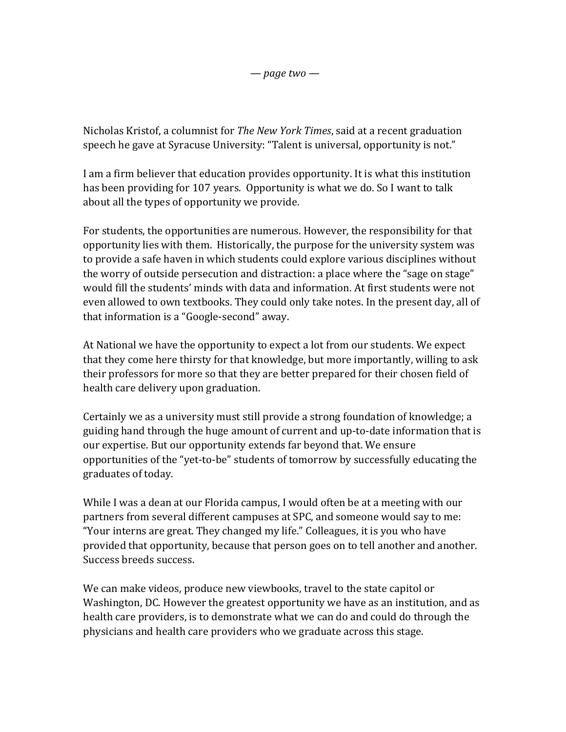*— page two —*

Nicholas Kristof, a columnist for *The New York Times*, said at a recent graduation speech he gave at Syracuse University: "Talent is universal, opportunity is not."

I am a firm believer that education provides opportunity. It is what this institution has been providing for 107 years. Opportunity is what we do. So I want to talk about all the types of opportunity we provide.

For students, the opportunities are numerous. However, the responsibility for that opportunity lies with them. Historically, the purpose for the university system was to provide a safe haven in which students could explore various disciplines without the worry of outside persecution and distraction: a place where the "sage on stage" would fill the students' minds with data and information. At first students were not even allowed to own textbooks. They could only take notes. In the present day, all of that information is a "Google-second" away.

At National we have the opportunity to expect a lot from our students. We expect that they come here thirsty for that knowledge, but more importantly, willing to ask their professors for more so that they are better prepared for their chosen field of health care delivery upon graduation.

Certainly we as a university must still provide a strong foundation of knowledge; a guiding hand through the huge amount of current and up-to-date information that is our expertise. But our opportunity extends far beyond that. We ensure opportunities of the "yet-to-be" students of tomorrow by successfully educating the graduates of today.

While I was a dean at our Florida campus, I would often be at a meeting with our partners from several different campuses at SPC, and someone would say to me: "Your interns are great. They changed my life." Colleagues, it is you who have provided that opportunity, because that person goes on to tell another and another. Success breeds success.

We can make videos, produce new viewbooks, travel to the state capitol or Washington, DC. However the greatest opportunity we have as an institution, and as health care providers, is to demonstrate what we can do and could do through the physicians and health care providers who we graduate across this stage.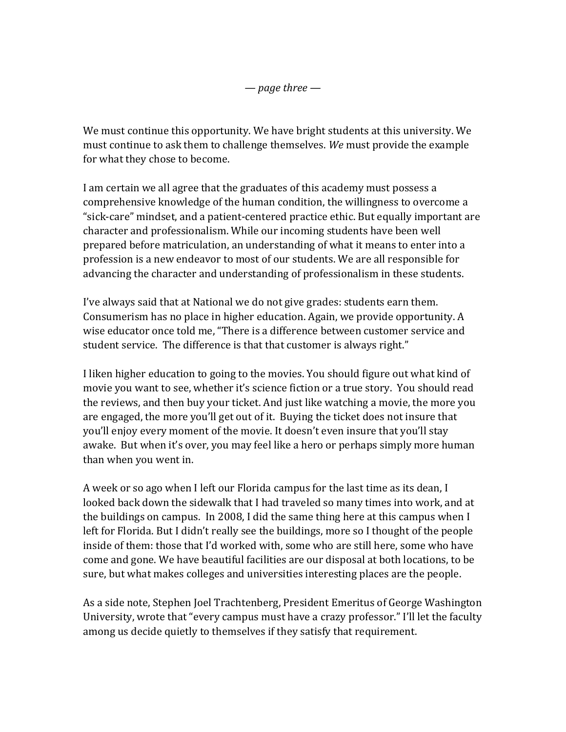We must continue this opportunity. We have bright students at this university. We must continue to ask them to challenge themselves. We must provide the example for what they chose to become.

I am certain we all agree that the graduates of this academy must possess a comprehensive knowledge of the human condition, the willingness to overcome a "sick-care" mindset, and a patient-centered practice ethic. But equally important are character and professionalism. While our incoming students have been well prepared before matriculation, an understanding of what it means to enter into a profession is a new endeavor to most of our students. We are all responsible for advancing the character and understanding of professionalism in these students.

I've always said that at National we do not give grades: students earn them. Consumerism has no place in higher education. Again, we provide opportunity. A wise educator once told me, "There is a difference between customer service and student service. The difference is that that customer is always right."

I liken higher education to going to the movies. You should figure out what kind of movie you want to see, whether it's science fiction or a true story. You should read the reviews, and then buy your ticket. And just like watching a movie, the more you are engaged, the more you'll get out of it. Buying the ticket does not insure that you'll enjoy every moment of the movie. It doesn't even insure that you'll stay awake. But when it's over, you may feel like a hero or perhaps simply more human than when you went in.

A week or so ago when I left our Florida campus for the last time as its dean, I looked back down the sidewalk that I had traveled so many times into work, and at the buildings on campus. In 2008, I did the same thing here at this campus when I left for Florida. But I didn't really see the buildings, more so I thought of the people inside of them: those that I'd worked with, some who are still here, some who have come and gone. We have beautiful facilities are our disposal at both locations, to be sure, but what makes colleges and universities interesting places are the people.

As a side note, Stephen Joel Trachtenberg, President Emeritus of George Washington University, wrote that "every campus must have a crazy professor." I'll let the faculty among us decide quietly to themselves if they satisfy that requirement.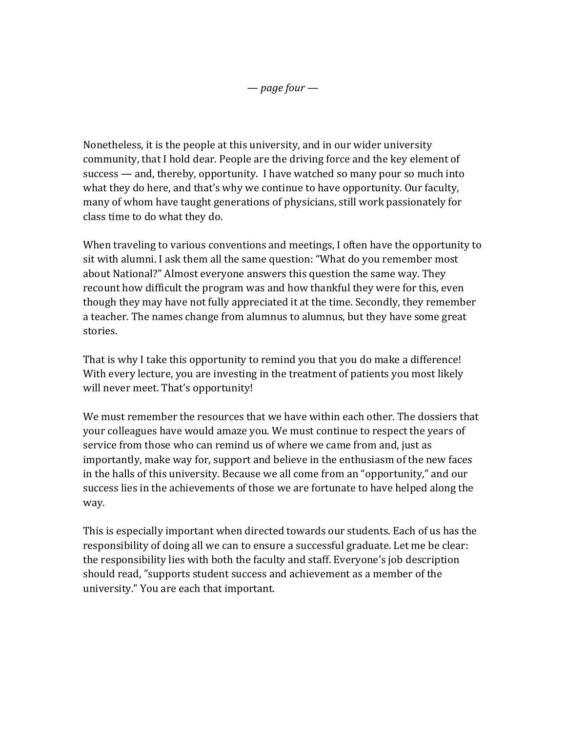Nonetheless, it is the people at this university, and in our wider university community, that I hold dear. People are the driving force and the key element of  $success$  — and, thereby, opportunity. I have watched so many pour so much into what they do here, and that's why we continue to have opportunity. Our faculty, many of whom have taught generations of physicians, still work passionately for class time to do what they do.

When traveling to various conventions and meetings, I often have the opportunity to sit with alumni. I ask them all the same question: "What do you remember most about National?" Almost everyone answers this question the same way. They recount how difficult the program was and how thankful they were for this, even though they may have not fully appreciated it at the time. Secondly, they remember a teacher. The names change from alumnus to alumnus, but they have some great stories. 

That is why I take this opportunity to remind you that you do make a difference! With every lecture, you are investing in the treatment of patients you most likely will never meet. That's opportunity!

We must remember the resources that we have within each other. The dossiers that your colleagues have would amaze you. We must continue to respect the years of service from those who can remind us of where we came from and, just as importantly, make way for, support and believe in the enthusiasm of the new faces in the halls of this university. Because we all come from an "opportunity," and our success lies in the achievements of those we are fortunate to have helped along the way. 

This is especially important when directed towards our students. Each of us has the responsibility of doing all we can to ensure a successful graduate. Let me be clear: the responsibility lies with both the faculty and staff. Everyone's job description should read, "supports student success and achievement as a member of the university." You are each that important.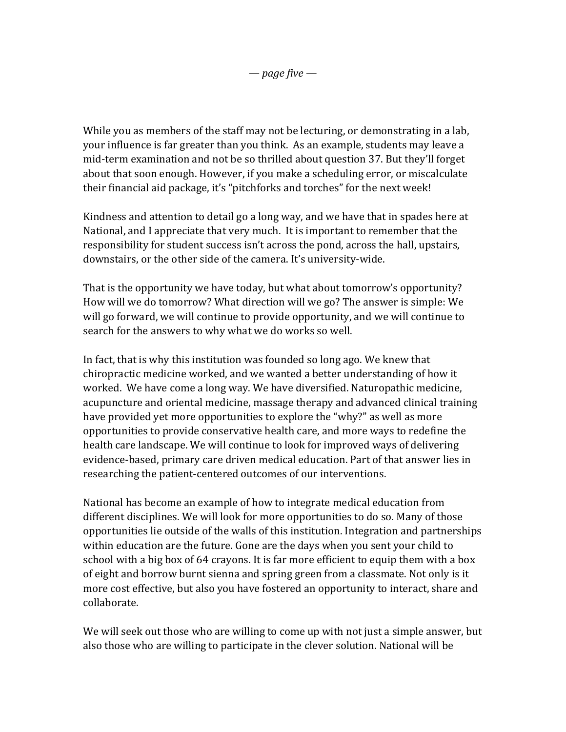While you as members of the staff may not be lecturing, or demonstrating in a lab, your influence is far greater than you think. As an example, students may leave a mid-term examination and not be so thrilled about question 37. But they'll forget about that soon enough. However, if you make a scheduling error, or miscalculate their financial aid package, it's "pitchforks and torches" for the next week!

Kindness and attention to detail go a long way, and we have that in spades here at National, and I appreciate that very much. It is important to remember that the responsibility for student success isn't across the pond, across the hall, upstairs, downstairs, or the other side of the camera. It's university-wide.

That is the opportunity we have today, but what about tomorrow's opportunity? How will we do tomorrow? What direction will we go? The answer is simple: We will go forward, we will continue to provide opportunity, and we will continue to search for the answers to why what we do works so well.

In fact, that is why this institution was founded so long ago. We knew that chiropractic medicine worked, and we wanted a better understanding of how it worked. We have come a long way. We have diversified. Naturopathic medicine, acupuncture and oriental medicine, massage therapy and advanced clinical training have provided yet more opportunities to explore the "why?" as well as more opportunities to provide conservative health care, and more ways to redefine the health care landscape. We will continue to look for improved ways of delivering evidence-based, primary care driven medical education. Part of that answer lies in researching the patient-centered outcomes of our interventions.

National has become an example of how to integrate medical education from different disciplines. We will look for more opportunities to do so. Many of those opportunities lie outside of the walls of this institution. Integration and partnerships within education are the future. Gone are the days when you sent your child to school with a big box of 64 crayons. It is far more efficient to equip them with a box of eight and borrow burnt sienna and spring green from a classmate. Not only is it more cost effective, but also you have fostered an opportunity to interact, share and collaborate. 

We will seek out those who are willing to come up with not just a simple answer, but also those who are willing to participate in the clever solution. National will be